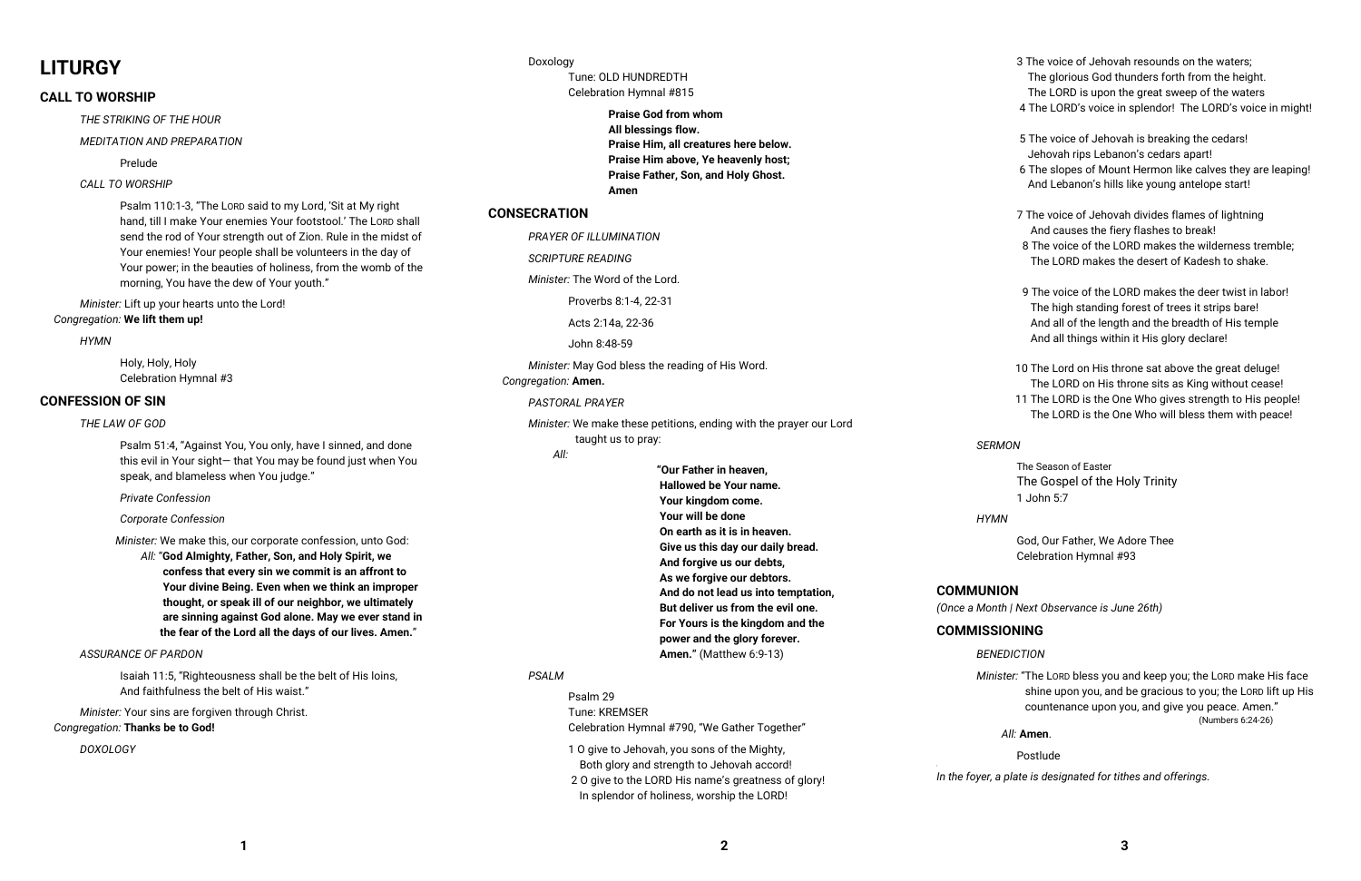# **LITURGY**

## **CALL TO WORSHIP**

*THE STRIKING OF THE HOUR*

## *MEDITATION AND PREPARATION*

Prelude

## *CALL TO WORSHIP*

Psalm 110:1-3, "The LORD said to my Lord, 'Sit at My right hand, till I make Your enemies Your footstool.' The LORD shall send the rod of Your strength out of Zion. Rule in the midst of Your enemies! Your people shall be volunteers in the day of Your power; in the beauties of holiness, from the womb of the morning, You have the dew of Your youth."

*Minister:* Lift up your hearts unto the Lord! *Congregation:* **We lift them up!** 

### *HYMN*

 Holy, Holy, Holy Celebration Hymnal #3

## **CONFESSION OF SIN**

#### *THE LAW OF GOD*

Psalm 51:4, "Against You, You only, have I sinned, and done this evil in Your sight— that You may be found just when You speak, and blameless when You judge."

 *Private Confession* 

## *Corporate Confession*

 *Minister:* We make this, our corporate confession, unto God:

 *All:* "**God Almighty, Father, Son, and Holy Spirit, we confess that every sin we commit is an affront to Your divine Being. Even when we think an improper thought, or speak ill of our neighbor, we ultimately are sinning against God alone. May we ever stand in the fear of the Lord all the days of our lives. Amen.**"

## *ASSURANCE OF PARDON*

Isaiah 11:5, "Righteousness shall be the belt of His loins, And faithfulness the belt of His waist."

*Minister:* Your sins are forgiven through Christ. *Congregation:* **Thanks be to God!**

## *DOXOLOGY*

Doxology Tune: OLD HUNDREDTH Celebration Hymnal #815

> **Praise God from whom All blessings flow. Praise Him, all creatures here below. Praise Him above, Ye heavenly host; Praise Father, Son, and Holy Ghost. Amen**

## **CONSECRATION**

*PRAYER OF ILLUMINATION*

*SCRIPTURE READING* 

*Minister:* The Word of the Lord.

Proverbs 8:1-4, 22-31

Acts 2:14a, 22-36

John 8:48-59

*Minister:* May God bless the reading of His Word.

*Congregation:* **Amen.**

## *PASTORAL PRAYER*

*Minister:* We make these petitions, ending with the prayer our Lord taught us to pray:

*All:*

| "Our Father in heaven,              |             |
|-------------------------------------|-------------|
| Hallowed be Your name.              |             |
| Your kingdom come.                  |             |
| Your will be done                   | ŀ           |
| On earth as it is in heaven.        |             |
| Give us this day our daily bread.   |             |
| And forgive us our debts,           |             |
| As we forgive our debtors.          |             |
| And do not lead us into temptation, | <b>COMM</b> |
| But deliver us from the evil one.   | (Once a N   |
| For Yours is the kingdom and the    | <b>COMM</b> |
| power and the glory forever.        |             |
| <b>Amen."</b> (Matthew 6:9-13)      | ŀ           |
|                                     |             |

## *PSALM*

 Psalm 29 Tune: KREMSER Celebration Hymnal #790, "We Gather Together"

 1 O give to Jehovah, you sons of the Mighty, Both glory and strength to Jehovah accord!

 2 O give to the LORD His name's greatness of glory! In splendor of holiness, worship the LORD!

- 3 The voice of Jehovah resounds on the waters; The glorious God thunders forth from the height. The LORD is upon the great sweep of the waters
- 4 The LORD's voice in splendor! The LORD's voice in might!
- 5 The voice of Jehovah is breaking the cedars! Jehovah rips Lebanon's cedars apart!
- 6 The slopes of Mount Hermon like calves they are leaping! And Lebanon's hills like young antelope start!
- 7 The voice of Jehovah divides flames of lightning And causes the fiery flashes to break!
- 8 The voice of the LORD makes the wilderness tremble; The LORD makes the desert of Kadesh to shake.
- 9 The voice of the LORD makes the deer twist in labor! The high standing forest of trees it strips bare! And all of the length and the breadth of His temple And all things within it His glory declare!
- 10 The Lord on His throne sat above the great deluge! The LORD on His throne sits as King without cease!
- 11 The LORD is the One Who gives strength to His people! The LORD is the One Who will bless them with peace!

## *SERMON*

The Season of Easter The Gospel of the Holy Trinity 1 John 5:7

## *HYMN*

 God, Our Father, We Adore Thee Celebration Hymnal #93

## **COMMUNION**

*(Once a Month | Next Observance is June 26th)*

## **ISSIONING**

## *BENEDICTION*

*Minister:* "The LORD bless you and keep you; the LORD make His face shine upon you, and be gracious to you; the LORD lift up His countenance upon you, and give you peace. Amen."

(Numbers 6:24-26)

## *All:* **Amen**.

Postlude

'

*In the foyer, a plate is designated for tithes and offerings.*